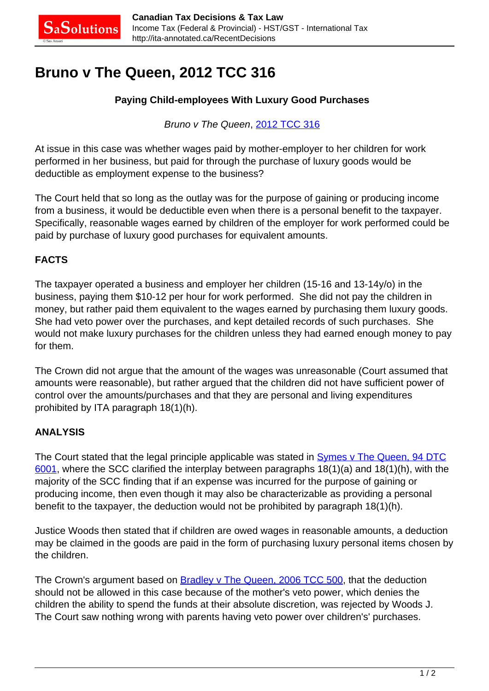## **Bruno v The Queen, 2012 TCC 316**

## **Paying Child-employees With Luxury Good Purchases**

Bruno v The Queen, [2012 TCC 316](http://decision.tcc-cci.gc.ca/en/2012/2012tcc316/2012tcc316.html)

At issue in this case was whether wages paid by mother-employer to her children for work performed in her business, but paid for through the purchase of luxury goods would be deductible as employment expense to the business?

The Court held that so long as the outlay was for the purpose of gaining or producing income from a business, it would be deductible even when there is a personal benefit to the taxpayer. Specifically, reasonable wages earned by children of the employer for work performed could be paid by purchase of luxury good purchases for equivalent amounts.

## **FACTS**

The taxpayer operated a business and employer her children (15-16 and 13-14y/o) in the business, paying them \$10-12 per hour for work performed. She did not pay the children in money, but rather paid them equivalent to the wages earned by purchasing them luxury goods. She had veto power over the purchases, and kept detailed records of such purchases. She would not make luxury purchases for the children unless they had earned enough money to pay for them.

The Crown did not argue that the amount of the wages was unreasonable (Court assumed that amounts were reasonable), but rather argued that the children did not have sufficient power of control over the amounts/purchases and that they are personal and living expenditures prohibited by ITA paragraph 18(1)(h).

## **ANALYSIS**

The Court stated that the legal principle applicable was stated in **Symes v The Queen, 94 DTC** [6001](http://canlii.ca/t/1frw1), where the SCC clarified the interplay between paragraphs 18(1)(a) and 18(1)(h), with the majority of the SCC finding that if an expense was incurred for the purpose of gaining or producing income, then even though it may also be characterizable as providing a personal benefit to the taxpayer, the deduction would not be prohibited by paragraph 18(1)(h).

Justice Woods then stated that if children are owed wages in reasonable amounts, a deduction may be claimed in the goods are paid in the form of purchasing luxury personal items chosen by the children.

The Crown's argument based on **Bradley v The Queen, 2006 TCC 500**, that the deduction should not be allowed in this case because of the mother's veto power, which denies the children the ability to spend the funds at their absolute discretion, was rejected by Woods J. The Court saw nothing wrong with parents having veto power over children's' purchases.